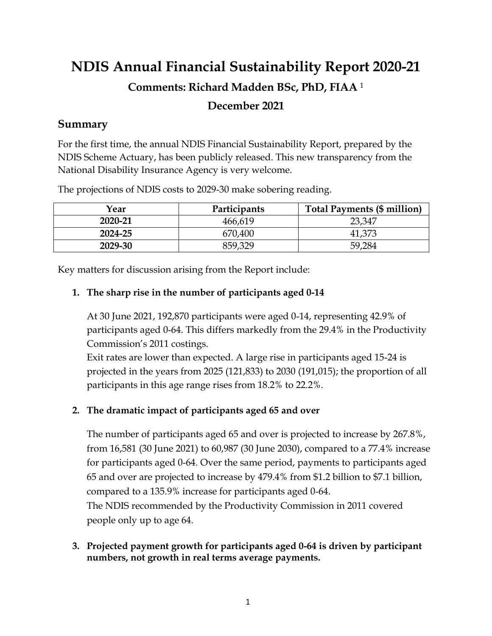# **NDIS Annual Financial Sustainability Report 2020-21 Comments: Richard Madden BSc, PhD, FIAA** <sup>1</sup> **December 2021**

#### **Summary**

For the first time, the annual NDIS Financial Sustainability Report, prepared by the NDIS Scheme Actuary, has been publicly released. This new transparency from the National Disability Insurance Agency is very welcome.

| Year    | Participants | <b>Total Payments (\$ million)</b> |
|---------|--------------|------------------------------------|
| 2020-21 | 466,619      | 23,347                             |
| 2024-25 | 670,400      | 41,373                             |
| 2029-30 | 859,329      | 59.284                             |

The projections of NDIS costs to 2029-30 make sobering reading.

Key matters for discussion arising from the Report include:

#### **1. The sharp rise in the number of participants aged 0-14**

At 30 June 2021, 192,870 participants were aged 0-14, representing 42.9% of participants aged 0-64. This differs markedly from the 29.4% in the Productivity Commission's 2011 costings.

Exit rates are lower than expected. A large rise in participants aged 15-24 is projected in the years from 2025 (121,833) to 2030 (191,015); the proportion of all participants in this age range rises from 18.2% to 22.2%.

## **2. The dramatic impact of participants aged 65 and over**

The number of participants aged 65 and over is projected to increase by 267.8%, from 16,581 (30 June 2021) to 60,987 (30 June 2030), compared to a 77.4% increase for participants aged 0-64. Over the same period, payments to participants aged 65 and over are projected to increase by 479.4% from \$1.2 billion to \$7.1 billion, compared to a 135.9% increase for participants aged 0-64. The NDIS recommended by the Productivity Commission in 2011 covered people only up to age 64.

**3. Projected payment growth for participants aged 0-64 is driven by participant numbers, not growth in real terms average payments.**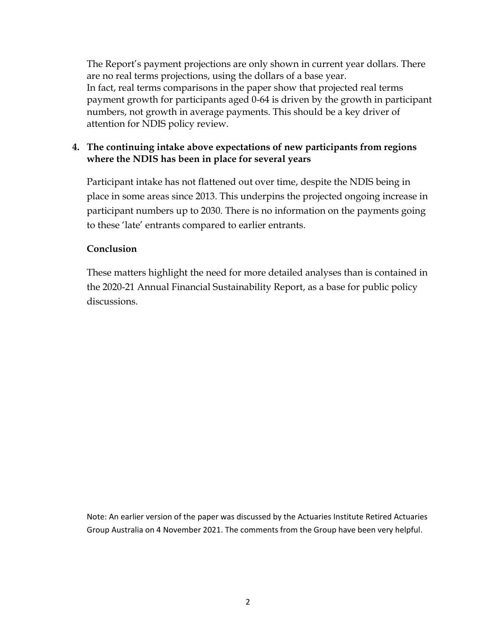The Report's payment projections are only shown in current year dollars. There are no real terms projections, using the dollars of a base year. In fact, real terms comparisons in the paper show that projected real terms payment growth for participants aged 0-64 is driven by the growth in participant numbers, not growth in average payments. This should be a key driver of attention for NDIS policy review.

#### **4. The continuing intake above expectations of new participants from regions where the NDIS has been in place for several years**

Participant intake has not flattened out over time, despite the NDIS being in place in some areas since 2013. This underpins the projected ongoing increase in participant numbers up to 2030. There is no information on the payments going to these 'late' entrants compared to earlier entrants.

#### **Conclusion**

These matters highlight the need for more detailed analyses than is contained in the 2020-21 Annual Financial Sustainability Report, as a base for public policy discussions.

Note: An earlier version of the paper was discussed by the Actuaries Institute Retired Actuaries Group Australia on 4 November 2021. The comments from the Group have been very helpful.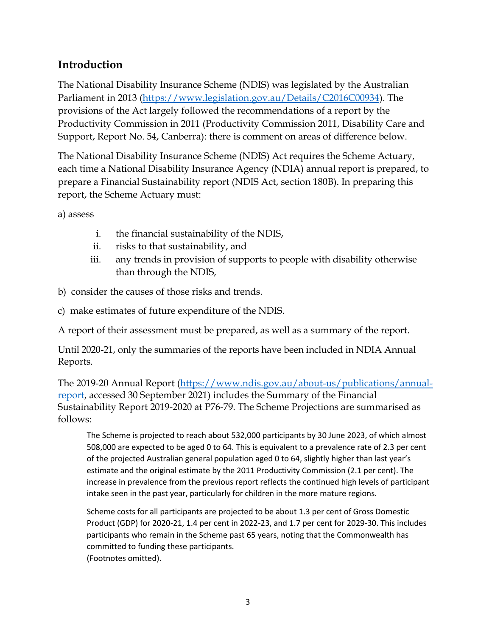# **Introduction**

The National Disability Insurance Scheme (NDIS) was legislated by the Australian Parliament in 2013 [\(https://www.legislation.gov.au/Details/C2016C00934\)](https://www.legislation.gov.au/Details/C2016C00934). The provisions of the Act largely followed the recommendations of a report by the Productivity Commission in 2011 (Productivity Commission 2011, Disability Care and Support, Report No. 54, Canberra): there is comment on areas of difference below.

The National Disability Insurance Scheme (NDIS) Act requires the Scheme Actuary, each time a National Disability Insurance Agency (NDIA) annual report is prepared, to prepare a Financial Sustainability report (NDIS Act, section 180B). In preparing this report, the Scheme Actuary must:

a) assess

- i. the financial sustainability of the NDIS,
- ii. risks to that sustainability, and
- iii. any trends in provision of supports to people with disability otherwise than through the NDIS,
- b) consider the causes of those risks and trends.
- c) make estimates of future expenditure of the NDIS.

A report of their assessment must be prepared, as well as a summary of the report.

Until 2020-21, only the summaries of the reports have been included in NDIA Annual Reports.

The 2019-20 Annual Report [\(https://www.ndis.gov.au/about-us/publications/annual](https://www.ndis.gov.au/about-us/publications/annual-report)[report,](https://www.ndis.gov.au/about-us/publications/annual-report) accessed 30 September 2021) includes the Summary of the Financial Sustainability Report 2019-2020 at P76-79. The Scheme Projections are summarised as follows:

The Scheme is projected to reach about 532,000 participants by 30 June 2023, of which almost 508,000 are expected to be aged 0 to 64. This is equivalent to a prevalence rate of 2.3 per cent of the projected Australian general population aged 0 to 64, slightly higher than last year's estimate and the original estimate by the 2011 Productivity Commission (2.1 per cent). The increase in prevalence from the previous report reflects the continued high levels of participant intake seen in the past year, particularly for children in the more mature regions.

Scheme costs for all participants are projected to be about 1.3 per cent of Gross Domestic Product (GDP) for 2020-21, 1.4 per cent in 2022-23, and 1.7 per cent for 2029-30. This includes participants who remain in the Scheme past 65 years, noting that the Commonwealth has committed to funding these participants. (Footnotes omitted).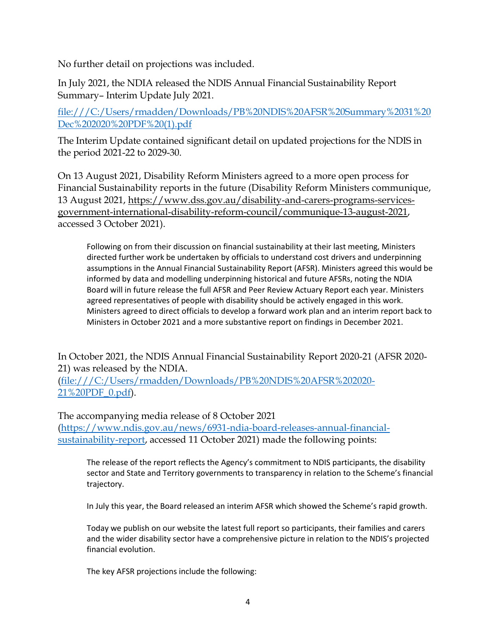No further detail on projections was included.

In July 2021, the NDIA released the NDIS Annual Financial Sustainability Report Summary– Interim Update July 2021.

[file:///C:/Users/rmadden/Downloads/PB%20NDIS%20AFSR%20Summary%2031%20](file:///C:/Users/rmadden/Downloads/PB%20NDIS%20AFSR%20Summary%2031%20Dec%202020%20PDF%20(1).pdf) [Dec%202020%20PDF%20\(1\).pdf](file:///C:/Users/rmadden/Downloads/PB%20NDIS%20AFSR%20Summary%2031%20Dec%202020%20PDF%20(1).pdf)

The Interim Update contained significant detail on updated projections for the NDIS in the period 2021-22 to 2029-30.

On 13 August 2021, Disability Reform Ministers agreed to a more open process for Financial Sustainability reports in the future (Disability Reform Ministers communique, 13 August 2021, [https://www.dss.gov.au/disability-and-carers-programs-services](https://www.dss.gov.au/disability-and-carers-programs-services-government-international-disability-reform-council/communique-13-august-2021)[government-international-disability-reform-council/communique-13-august-2021,](https://www.dss.gov.au/disability-and-carers-programs-services-government-international-disability-reform-council/communique-13-august-2021) accessed 3 October 2021).

Following on from their discussion on financial sustainability at their last meeting, Ministers directed further work be undertaken by officials to understand cost drivers and underpinning assumptions in the Annual Financial Sustainability Report (AFSR). Ministers agreed this would be informed by data and modelling underpinning historical and future AFSRs, noting the NDIA Board will in future release the full AFSR and Peer Review Actuary Report each year. Ministers agreed representatives of people with disability should be actively engaged in this work. Ministers agreed to direct officials to develop a forward work plan and an interim report back to Ministers in October 2021 and a more substantive report on findings in December 2021.

In October 2021, the NDIS Annual Financial Sustainability Report 2020-21 (AFSR 2020- 21) was released by the NDIA.

[\(file:///C:/Users/rmadden/Downloads/PB%20NDIS%20AFSR%202020-](file:///C:/Users/rmadden/Downloads/PB%20NDIS%20AFSR%202020-21%20PDF_0.pdf) [21%20PDF\\_0.pdf\)](file:///C:/Users/rmadden/Downloads/PB%20NDIS%20AFSR%202020-21%20PDF_0.pdf).

The accompanying media release of 8 October 2021 [\(https://www.ndis.gov.au/news/6931-ndia-board-releases-annual-financial](https://www.ndis.gov.au/news/6931-ndia-board-releases-annual-financial-sustainability-report)[sustainability-report,](https://www.ndis.gov.au/news/6931-ndia-board-releases-annual-financial-sustainability-report) accessed 11 October 2021) made the following points:

The release of the report reflects the Agency's commitment to NDIS participants, the disability sector and State and Territory governments to transparency in relation to the Scheme's financial trajectory.

In July this year, the Board released an interim AFSR which showed the Scheme's rapid growth.

Today we publish on our website the latest full report so participants, their families and carers and the wider disability sector have a comprehensive picture in relation to the NDIS's projected financial evolution.

The key AFSR projections include the following: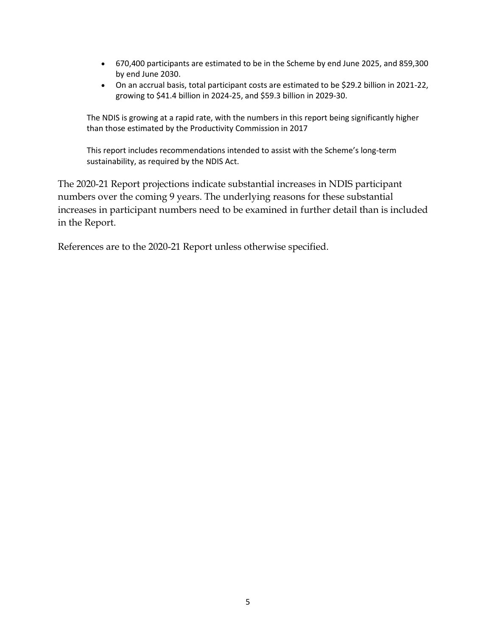- 670,400 participants are estimated to be in the Scheme by end June 2025, and 859,300 by end June 2030.
- On an accrual basis, total participant costs are estimated to be \$29.2 billion in 2021-22, growing to \$41.4 billion in 2024-25, and \$59.3 billion in 2029-30.

The NDIS is growing at a rapid rate, with the numbers in this report being significantly higher than those estimated by the Productivity Commission in 2017

This report includes recommendations intended to assist with the Scheme's long-term sustainability, as required by the NDIS Act.

The 2020-21 Report projections indicate substantial increases in NDIS participant numbers over the coming 9 years. The underlying reasons for these substantial increases in participant numbers need to be examined in further detail than is included in the Report.

References are to the 2020-21 Report unless otherwise specified.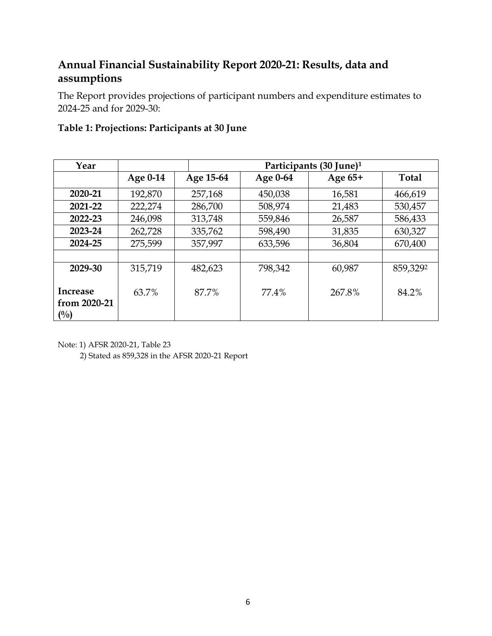# **Annual Financial Sustainability Report 2020-21: Results, data and assumptions**

The Report provides projections of participant numbers and expenditure estimates to 2024-25 and for 2029-30:

| Year                               |          | Participants (30 June) <sup>1</sup> |          |         |              |
|------------------------------------|----------|-------------------------------------|----------|---------|--------------|
|                                    | Age 0-14 | Age 15-64                           | Age 0-64 | Age 65+ | <b>Total</b> |
| 2020-21                            | 192,870  | 257,168                             | 450,038  | 16,581  | 466,619      |
| 2021-22                            | 222,274  | 286,700                             | 508,974  | 21,483  | 530,457      |
| 2022-23                            | 246,098  | 313,748                             | 559,846  | 26,587  | 586,433      |
| 2023-24                            | 262,728  | 335,762                             | 598,490  | 31,835  | 630,327      |
| 2024-25                            | 275,599  | 357,997                             | 633,596  | 36,804  | 670,400      |
|                                    |          |                                     |          |         |              |
| 2029-30                            | 315,719  | 482,623                             | 798,342  | 60,987  | 859,3292     |
| Increase<br>from 2020-21<br>$($ %) | 63.7%    | 87.7%                               | 77.4%    | 267.8%  | 84.2%        |

#### **Table 1: Projections: Participants at 30 June**

Note: 1) AFSR 2020-21, Table 23

2) Stated as 859,328 in the AFSR 2020-21 Report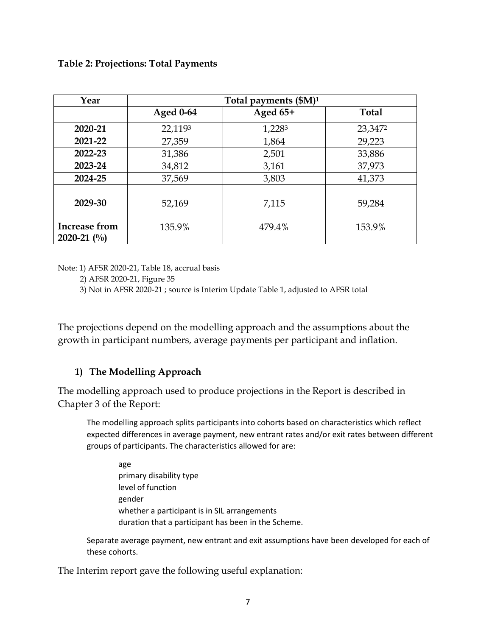#### **Table 2: Projections: Total Payments**

| Year                           | Total payments $(SM)^1$ |          |              |
|--------------------------------|-------------------------|----------|--------------|
|                                | <b>Aged 0-64</b>        | Aged 65+ | <b>Total</b> |
| 2020-21                        | 22,1193                 | 1,2283   | 23,3472      |
| 2021-22                        | 27,359                  | 1,864    | 29,223       |
| 2022-23                        | 31,386                  | 2,501    | 33,886       |
| 2023-24                        | 34,812                  | 3,161    | 37,973       |
| 2024-25                        | 37,569                  | 3,803    | 41,373       |
|                                |                         |          |              |
| 2029-30                        | 52,169                  | 7,115    | 59,284       |
| Increase from<br>2020-21 $(\%$ | 135.9%                  | 479.4%   | 153.9%       |

Note: 1) AFSR 2020-21, Table 18, accrual basis

2) AFSR 2020-21, Figure 35

3) Not in AFSR 2020-21 ; source is Interim Update Table 1, adjusted to AFSR total

The projections depend on the modelling approach and the assumptions about the growth in participant numbers, average payments per participant and inflation.

#### **1) The Modelling Approach**

The modelling approach used to produce projections in the Report is described in Chapter 3 of the Report:

The modelling approach splits participants into cohorts based on characteristics which reflect expected differences in average payment, new entrant rates and/or exit rates between different groups of participants. The characteristics allowed for are:

age primary disability type level of function gender whether a participant is in SIL arrangements duration that a participant has been in the Scheme.

Separate average payment, new entrant and exit assumptions have been developed for each of these cohorts.

The Interim report gave the following useful explanation: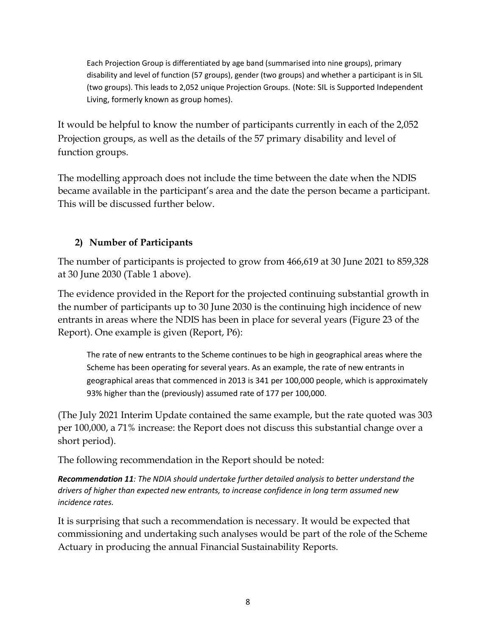Each Projection Group is differentiated by age band (summarised into nine groups), primary disability and level of function (57 groups), gender (two groups) and whether a participant is in SIL (two groups). This leads to 2,052 unique Projection Groups. (Note: SIL is Supported Independent Living, formerly known as group homes).

It would be helpful to know the number of participants currently in each of the 2,052 Projection groups, as well as the details of the 57 primary disability and level of function groups.

The modelling approach does not include the time between the date when the NDIS became available in the participant's area and the date the person became a participant. This will be discussed further below.

## **2) Number of Participants**

The number of participants is projected to grow from 466,619 at 30 June 2021 to 859,328 at 30 June 2030 (Table 1 above).

The evidence provided in the Report for the projected continuing substantial growth in the number of participants up to 30 June 2030 is the continuing high incidence of new entrants in areas where the NDIS has been in place for several years (Figure 23 of the Report). One example is given (Report, P6):

The rate of new entrants to the Scheme continues to be high in geographical areas where the Scheme has been operating for several years. As an example, the rate of new entrants in geographical areas that commenced in 2013 is 341 per 100,000 people, which is approximately 93% higher than the (previously) assumed rate of 177 per 100,000.

(The July 2021 Interim Update contained the same example, but the rate quoted was 303 per 100,000, a 71% increase: the Report does not discuss this substantial change over a short period).

The following recommendation in the Report should be noted:

*Recommendation 11: The NDIA should undertake further detailed analysis to better understand the drivers of higher than expected new entrants, to increase confidence in long term assumed new incidence rates.*

It is surprising that such a recommendation is necessary. It would be expected that commissioning and undertaking such analyses would be part of the role of the Scheme Actuary in producing the annual Financial Sustainability Reports.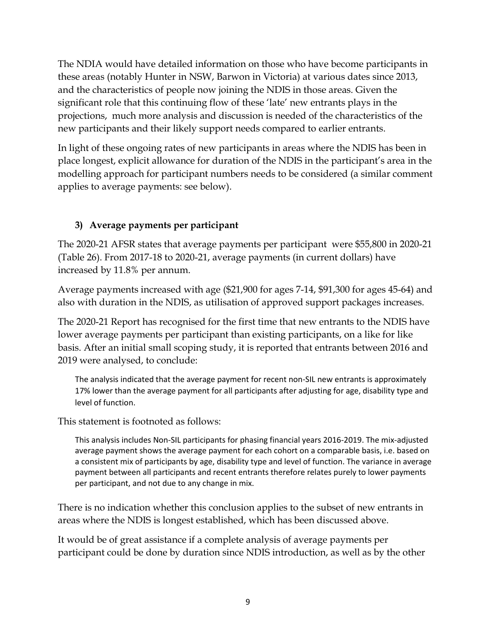The NDIA would have detailed information on those who have become participants in these areas (notably Hunter in NSW, Barwon in Victoria) at various dates since 2013, and the characteristics of people now joining the NDIS in those areas. Given the significant role that this continuing flow of these 'late' new entrants plays in the projections, much more analysis and discussion is needed of the characteristics of the new participants and their likely support needs compared to earlier entrants.

In light of these ongoing rates of new participants in areas where the NDIS has been in place longest, explicit allowance for duration of the NDIS in the participant's area in the modelling approach for participant numbers needs to be considered (a similar comment applies to average payments: see below).

## **3) Average payments per participant**

The 2020-21 AFSR states that average payments per participant were \$55,800 in 2020-21 (Table 26). From 2017-18 to 2020-21, average payments (in current dollars) have increased by 11.8% per annum.

Average payments increased with age (\$21,900 for ages 7-14, \$91,300 for ages 45-64) and also with duration in the NDIS, as utilisation of approved support packages increases.

The 2020-21 Report has recognised for the first time that new entrants to the NDIS have lower average payments per participant than existing participants, on a like for like basis. After an initial small scoping study, it is reported that entrants between 2016 and 2019 were analysed, to conclude:

The analysis indicated that the average payment for recent non-SIL new entrants is approximately 17% lower than the average payment for all participants after adjusting for age, disability type and level of function.

This statement is footnoted as follows:

This analysis includes Non-SIL participants for phasing financial years 2016-2019. The mix-adjusted average payment shows the average payment for each cohort on a comparable basis, i.e. based on a consistent mix of participants by age, disability type and level of function. The variance in average payment between all participants and recent entrants therefore relates purely to lower payments per participant, and not due to any change in mix.

There is no indication whether this conclusion applies to the subset of new entrants in areas where the NDIS is longest established, which has been discussed above.

It would be of great assistance if a complete analysis of average payments per participant could be done by duration since NDIS introduction, as well as by the other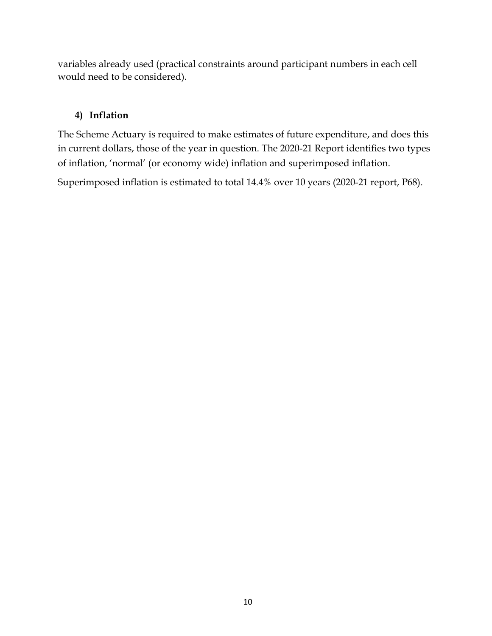variables already used (practical constraints around participant numbers in each cell would need to be considered).

#### **4) Inflation**

The Scheme Actuary is required to make estimates of future expenditure, and does this in current dollars, those of the year in question. The 2020-21 Report identifies two types of inflation, 'normal' (or economy wide) inflation and superimposed inflation.

Superimposed inflation is estimated to total 14.4% over 10 years (2020-21 report, P68).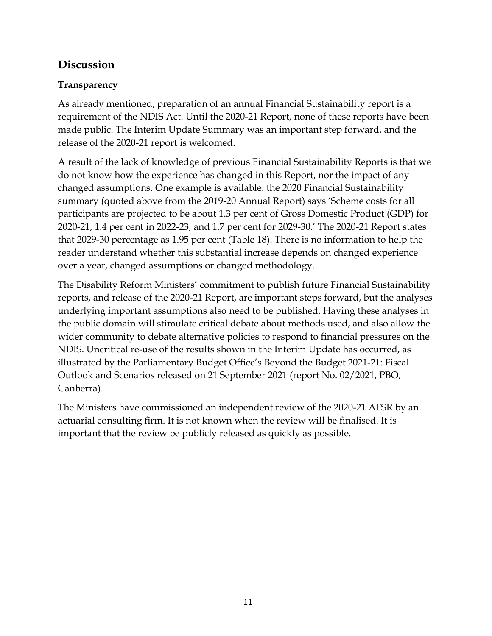## **Discussion**

## **Transparency**

As already mentioned, preparation of an annual Financial Sustainability report is a requirement of the NDIS Act. Until the 2020-21 Report, none of these reports have been made public. The Interim Update Summary was an important step forward, and the release of the 2020-21 report is welcomed.

A result of the lack of knowledge of previous Financial Sustainability Reports is that we do not know how the experience has changed in this Report, nor the impact of any changed assumptions. One example is available: the 2020 Financial Sustainability summary (quoted above from the 2019-20 Annual Report) says 'Scheme costs for all participants are projected to be about 1.3 per cent of Gross Domestic Product (GDP) for 2020-21, 1.4 per cent in 2022-23, and 1.7 per cent for 2029-30.' The 2020-21 Report states that 2029-30 percentage as 1.95 per cent (Table 18). There is no information to help the reader understand whether this substantial increase depends on changed experience over a year, changed assumptions or changed methodology.

The Disability Reform Ministers' commitment to publish future Financial Sustainability reports, and release of the 2020-21 Report, are important steps forward, but the analyses underlying important assumptions also need to be published. Having these analyses in the public domain will stimulate critical debate about methods used, and also allow the wider community to debate alternative policies to respond to financial pressures on the NDIS. Uncritical re-use of the results shown in the Interim Update has occurred, as illustrated by the Parliamentary Budget Office's Beyond the Budget 2021-21: Fiscal Outlook and Scenarios released on 21 September 2021 (report No. 02/2021, PBO, Canberra).

The Ministers have commissioned an independent review of the 2020-21 AFSR by an actuarial consulting firm. It is not known when the review will be finalised. It is important that the review be publicly released as quickly as possible.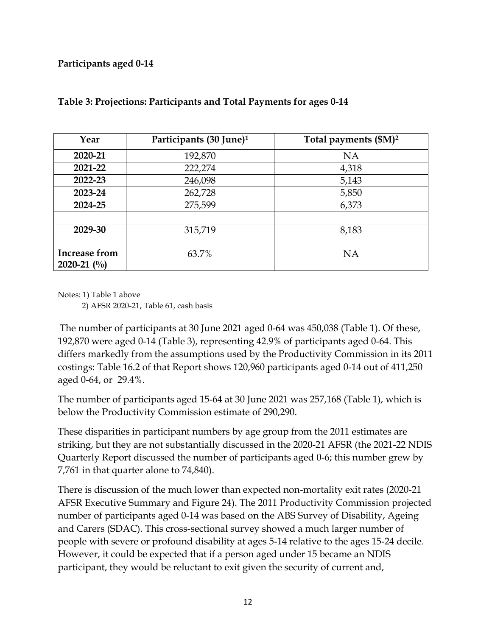#### **Participants aged 0-14**

| Year                           | Participants (30 June) <sup>1</sup> | Total payments (\$M) <sup>2</sup> |
|--------------------------------|-------------------------------------|-----------------------------------|
| 2020-21                        | 192,870                             | <b>NA</b>                         |
| 2021-22                        | 222,274                             | 4,318                             |
| 2022-23                        | 246,098                             | 5,143                             |
| 2023-24                        | 262,728                             | 5,850                             |
| 2024-25                        | 275,599                             | 6,373                             |
|                                |                                     |                                   |
| 2029-30                        | 315,719                             | 8,183                             |
| Increase from<br>2020-21 $(\%$ | 63.7%                               | <b>NA</b>                         |

#### **Table 3: Projections: Participants and Total Payments for ages 0-14**

Notes: 1) Table 1 above

2) AFSR 2020-21, Table 61, cash basis

The number of participants at 30 June 2021 aged 0-64 was 450,038 (Table 1). Of these, 192,870 were aged 0-14 (Table 3), representing 42.9% of participants aged 0-64. This differs markedly from the assumptions used by the Productivity Commission in its 2011 costings: Table 16.2 of that Report shows 120,960 participants aged 0-14 out of 411,250 aged 0-64, or 29.4%.

The number of participants aged 15-64 at 30 June 2021 was 257,168 (Table 1), which is below the Productivity Commission estimate of 290,290.

These disparities in participant numbers by age group from the 2011 estimates are striking, but they are not substantially discussed in the 2020-21 AFSR (the 2021-22 NDIS Quarterly Report discussed the number of participants aged 0-6; this number grew by 7,761 in that quarter alone to 74,840).

There is discussion of the much lower than expected non-mortality exit rates (2020-21 AFSR Executive Summary and Figure 24). The 2011 Productivity Commission projected number of participants aged 0-14 was based on the ABS Survey of Disability, Ageing and Carers (SDAC). This cross-sectional survey showed a much larger number of people with severe or profound disability at ages 5-14 relative to the ages 15-24 decile. However, it could be expected that if a person aged under 15 became an NDIS participant, they would be reluctant to exit given the security of current and,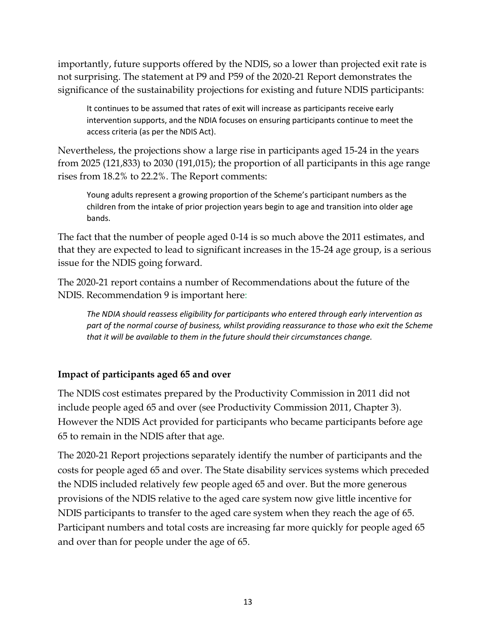importantly, future supports offered by the NDIS, so a lower than projected exit rate is not surprising. The statement at P9 and P59 of the 2020-21 Report demonstrates the significance of the sustainability projections for existing and future NDIS participants:

It continues to be assumed that rates of exit will increase as participants receive early intervention supports, and the NDIA focuses on ensuring participants continue to meet the access criteria (as per the NDIS Act).

Nevertheless, the projections show a large rise in participants aged 15-24 in the years from 2025 (121,833) to 2030 (191,015); the proportion of all participants in this age range rises from 18.2% to 22.2%. The Report comments:

Young adults represent a growing proportion of the Scheme's participant numbers as the children from the intake of prior projection years begin to age and transition into older age bands.

The fact that the number of people aged 0-14 is so much above the 2011 estimates, and that they are expected to lead to significant increases in the 15-24 age group, is a serious issue for the NDIS going forward.

The 2020-21 report contains a number of Recommendations about the future of the NDIS. Recommendation 9 is important here:

*The NDIA should reassess eligibility for participants who entered through early intervention as part of the normal course of business, whilst providing reassurance to those who exit the Scheme that it will be available to them in the future should their circumstances change.* 

## **Impact of participants aged 65 and over**

The NDIS cost estimates prepared by the Productivity Commission in 2011 did not include people aged 65 and over (see Productivity Commission 2011, Chapter 3). However the NDIS Act provided for participants who became participants before age 65 to remain in the NDIS after that age.

The 2020-21 Report projections separately identify the number of participants and the costs for people aged 65 and over. The State disability services systems which preceded the NDIS included relatively few people aged 65 and over. But the more generous provisions of the NDIS relative to the aged care system now give little incentive for NDIS participants to transfer to the aged care system when they reach the age of 65. Participant numbers and total costs are increasing far more quickly for people aged 65 and over than for people under the age of 65.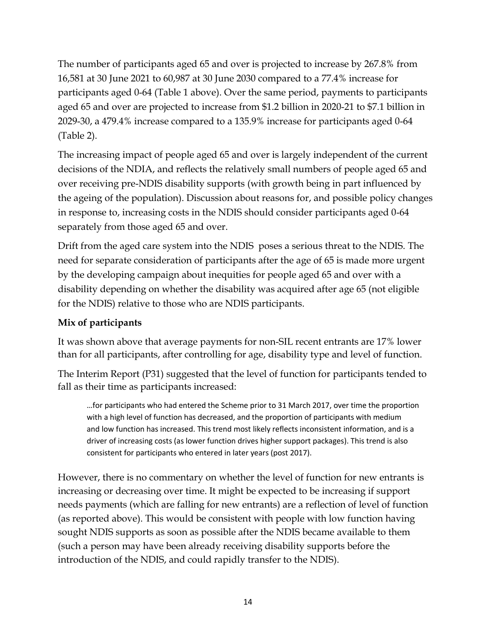The number of participants aged 65 and over is projected to increase by 267.8% from 16,581 at 30 June 2021 to 60,987 at 30 June 2030 compared to a 77.4% increase for participants aged 0-64 (Table 1 above). Over the same period, payments to participants aged 65 and over are projected to increase from \$1.2 billion in 2020-21 to \$7.1 billion in 2029-30, a 479.4% increase compared to a 135.9% increase for participants aged 0-64 (Table 2).

The increasing impact of people aged 65 and over is largely independent of the current decisions of the NDIA, and reflects the relatively small numbers of people aged 65 and over receiving pre-NDIS disability supports (with growth being in part influenced by the ageing of the population). Discussion about reasons for, and possible policy changes in response to, increasing costs in the NDIS should consider participants aged 0-64 separately from those aged 65 and over.

Drift from the aged care system into the NDIS poses a serious threat to the NDIS. The need for separate consideration of participants after the age of 65 is made more urgent by the developing campaign about inequities for people aged 65 and over with a disability depending on whether the disability was acquired after age 65 (not eligible for the NDIS) relative to those who are NDIS participants.

## **Mix of participants**

It was shown above that average payments for non-SIL recent entrants are 17% lower than for all participants, after controlling for age, disability type and level of function.

The Interim Report (P31) suggested that the level of function for participants tended to fall as their time as participants increased:

…for participants who had entered the Scheme prior to 31 March 2017, over time the proportion with a high level of function has decreased, and the proportion of participants with medium and low function has increased. This trend most likely reflects inconsistent information, and is a driver of increasing costs (as lower function drives higher support packages). This trend is also consistent for participants who entered in later years (post 2017).

However, there is no commentary on whether the level of function for new entrants is increasing or decreasing over time. It might be expected to be increasing if support needs payments (which are falling for new entrants) are a reflection of level of function (as reported above). This would be consistent with people with low function having sought NDIS supports as soon as possible after the NDIS became available to them (such a person may have been already receiving disability supports before the introduction of the NDIS, and could rapidly transfer to the NDIS).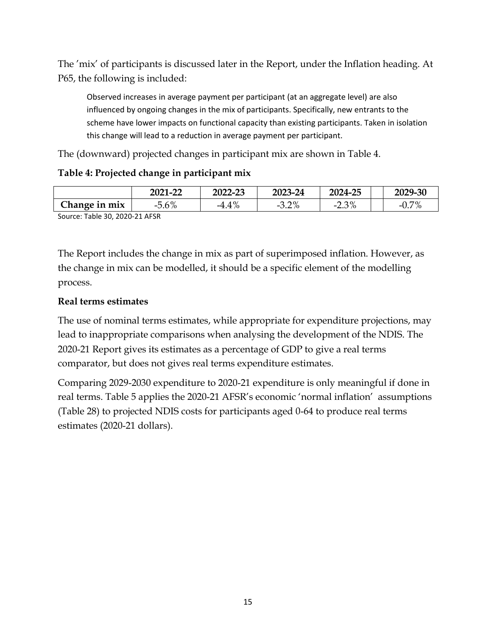The 'mix' of participants is discussed later in the Report, under the Inflation heading. At P65, the following is included:

Observed increases in average payment per participant (at an aggregate level) are also influenced by ongoing changes in the mix of participants. Specifically, new entrants to the scheme have lower impacts on functional capacity than existing participants. Taken in isolation this change will lead to a reduction in average payment per participant.

The (downward) projected changes in participant mix are shown in Table 4.

#### **Table 4: Projected change in participant mix**

|               | 2021-22 | 2022-23 | 2023-24 | 2024-25 | 2029-30         |
|---------------|---------|---------|---------|---------|-----------------|
| Change in mix | $-5.6%$ | $-4.4%$ | $-3.2%$ | $-2.3%$ | 70/<br>$-U.7$ . |
|               |         |         |         |         |                 |

Source: Table 30, 2020-21 AFSR

The Report includes the change in mix as part of superimposed inflation. However, as the change in mix can be modelled, it should be a specific element of the modelling process.

#### **Real terms estimates**

The use of nominal terms estimates, while appropriate for expenditure projections, may lead to inappropriate comparisons when analysing the development of the NDIS. The 2020-21 Report gives its estimates as a percentage of GDP to give a real terms comparator, but does not gives real terms expenditure estimates.

Comparing 2029-2030 expenditure to 2020-21 expenditure is only meaningful if done in real terms. Table 5 applies the 2020-21 AFSR's economic 'normal inflation' assumptions (Table 28) to projected NDIS costs for participants aged 0-64 to produce real terms estimates (2020-21 dollars).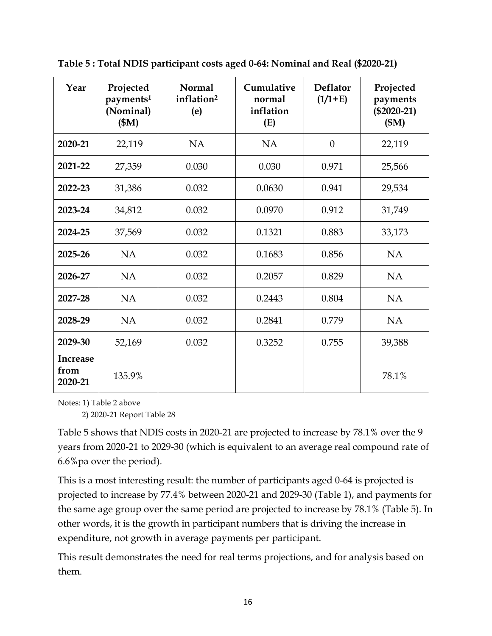| Year                               | Projected<br>payments <sup>1</sup><br>(Nominal)<br>(SM) | <b>Normal</b><br>inflation <sup>2</sup><br>(e) | Cumulative<br>normal<br>inflation<br>(E) | <b>Deflator</b><br>$(1/1+E)$ | Projected<br>payments<br>$(\$2020-21)$<br>(SM) |
|------------------------------------|---------------------------------------------------------|------------------------------------------------|------------------------------------------|------------------------------|------------------------------------------------|
| 2020-21                            | 22,119                                                  | <b>NA</b>                                      | <b>NA</b>                                | $\boldsymbol{0}$             | 22,119                                         |
| 2021-22                            | 27,359                                                  | 0.030                                          | 0.030                                    | 0.971                        | 25,566                                         |
| 2022-23                            | 31,386                                                  | 0.032                                          | 0.0630                                   | 0.941                        | 29,534                                         |
| 2023-24                            | 34,812                                                  | 0.032                                          | 0.0970                                   | 0.912                        | 31,749                                         |
| 2024-25                            | 37,569                                                  | 0.032                                          | 0.1321                                   | 0.883                        | 33,173                                         |
| 2025-26                            | <b>NA</b>                                               | 0.032                                          | 0.1683                                   | 0.856                        | <b>NA</b>                                      |
| 2026-27                            | <b>NA</b>                                               | 0.032                                          | 0.2057                                   | 0.829                        | <b>NA</b>                                      |
| 2027-28                            | <b>NA</b>                                               | 0.032                                          | 0.2443                                   | 0.804                        | <b>NA</b>                                      |
| 2028-29                            | <b>NA</b>                                               | 0.032                                          | 0.2841                                   | 0.779                        | <b>NA</b>                                      |
| 2029-30                            | 52,169                                                  | 0.032                                          | 0.3252                                   | 0.755                        | 39,388                                         |
| <b>Increase</b><br>from<br>2020-21 | 135.9%                                                  |                                                |                                          |                              | 78.1%                                          |

**Table 5 : Total NDIS participant costs aged 0-64: Nominal and Real (\$2020-21)**

Notes: 1) Table 2 above

2) 2020-21 Report Table 28

Table 5 shows that NDIS costs in 2020-21 are projected to increase by 78.1% over the 9 years from 2020-21 to 2029-30 (which is equivalent to an average real compound rate of 6.6%pa over the period).

This is a most interesting result: the number of participants aged 0-64 is projected is projected to increase by 77.4% between 2020-21 and 2029-30 (Table 1), and payments for the same age group over the same period are projected to increase by 78.1% (Table 5). In other words, it is the growth in participant numbers that is driving the increase in expenditure, not growth in average payments per participant.

This result demonstrates the need for real terms projections, and for analysis based on them.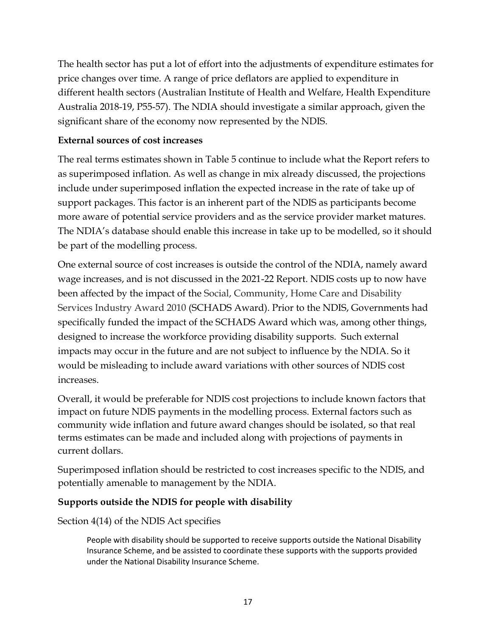The health sector has put a lot of effort into the adjustments of expenditure estimates for price changes over time. A range of price deflators are applied to expenditure in different health sectors (Australian Institute of Health and Welfare, Health Expenditure Australia 2018-19, P55-57). The NDIA should investigate a similar approach, given the significant share of the economy now represented by the NDIS.

#### **External sources of cost increases**

The real terms estimates shown in Table 5 continue to include what the Report refers to as superimposed inflation. As well as change in mix already discussed, the projections include under superimposed inflation the expected increase in the rate of take up of support packages. This factor is an inherent part of the NDIS as participants become more aware of potential service providers and as the service provider market matures. The NDIA's database should enable this increase in take up to be modelled, so it should be part of the modelling process.

One external source of cost increases is outside the control of the NDIA, namely award wage increases, and is not discussed in the 2021-22 Report. NDIS costs up to now have been affected by the impact of the Social, Community, Home Care and Disability Services Industry Award 2010 (SCHADS Award). Prior to the NDIS, Governments had specifically funded the impact of the SCHADS Award which was, among other things, designed to increase the workforce providing disability supports. Such external impacts may occur in the future and are not subject to influence by the NDIA. So it would be misleading to include award variations with other sources of NDIS cost increases.

Overall, it would be preferable for NDIS cost projections to include known factors that impact on future NDIS payments in the modelling process. External factors such as community wide inflation and future award changes should be isolated, so that real terms estimates can be made and included along with projections of payments in current dollars.

Superimposed inflation should be restricted to cost increases specific to the NDIS, and potentially amenable to management by the NDIA.

## **Supports outside the NDIS for people with disability**

Section 4(14) of the NDIS Act specifies

People with disability should be supported to receive supports outside the National Disability Insurance Scheme, and be assisted to coordinate these supports with the supports provided under the National Disability Insurance Scheme.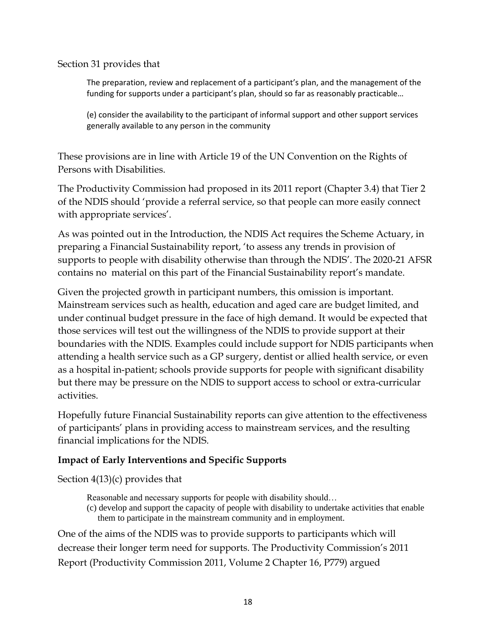Section 31 provides that

The preparation, review and replacement of a participant's plan, and the management of the funding for supports under a participant's plan, should so far as reasonably practicable…

(e) consider the availability to the participant of informal support and other support services generally available to any person in the community

These provisions are in line with Article 19 of the UN Convention on the Rights of Persons with Disabilities.

The Productivity Commission had proposed in its 2011 report (Chapter 3.4) that Tier 2 of the NDIS should 'provide a referral service, so that people can more easily connect with appropriate services'.

As was pointed out in the Introduction, the NDIS Act requires the Scheme Actuary, in preparing a Financial Sustainability report, 'to assess any trends in provision of supports to people with disability otherwise than through the NDIS'. The 2020-21 AFSR contains no material on this part of the Financial Sustainability report's mandate.

Given the projected growth in participant numbers, this omission is important. Mainstream services such as health, education and aged care are budget limited, and under continual budget pressure in the face of high demand. It would be expected that those services will test out the willingness of the NDIS to provide support at their boundaries with the NDIS. Examples could include support for NDIS participants when attending a health service such as a GP surgery, dentist or allied health service, or even as a hospital in-patient; schools provide supports for people with significant disability but there may be pressure on the NDIS to support access to school or extra-curricular activities.

Hopefully future Financial Sustainability reports can give attention to the effectiveness of participants' plans in providing access to mainstream services, and the resulting financial implications for the NDIS.

## **Impact of Early Interventions and Specific Supports**

Section 4(13)(c) provides that

Reasonable and necessary supports for people with disability should…

(c) develop and support the capacity of people with disability to undertake activities that enable them to participate in the mainstream community and in employment.

One of the aims of the NDIS was to provide supports to participants which will decrease their longer term need for supports. The Productivity Commission's 2011 Report (Productivity Commission 2011, Volume 2 Chapter 16, P779) argued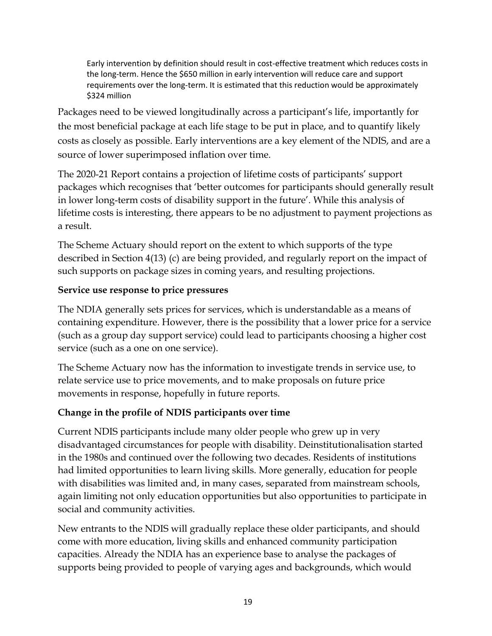Early intervention by definition should result in cost-effective treatment which reduces costs in the long-term. Hence the \$650 million in early intervention will reduce care and support requirements over the long-term. It is estimated that this reduction would be approximately \$324 million

Packages need to be viewed longitudinally across a participant's life, importantly for the most beneficial package at each life stage to be put in place, and to quantify likely costs as closely as possible. Early interventions are a key element of the NDIS, and are a source of lower superimposed inflation over time.

The 2020-21 Report contains a projection of lifetime costs of participants' support packages which recognises that 'better outcomes for participants should generally result in lower long-term costs of disability support in the future'. While this analysis of lifetime costs is interesting, there appears to be no adjustment to payment projections as a result.

The Scheme Actuary should report on the extent to which supports of the type described in Section 4(13) (c) are being provided, and regularly report on the impact of such supports on package sizes in coming years, and resulting projections.

#### **Service use response to price pressures**

The NDIA generally sets prices for services, which is understandable as a means of containing expenditure. However, there is the possibility that a lower price for a service (such as a group day support service) could lead to participants choosing a higher cost service (such as a one on one service).

The Scheme Actuary now has the information to investigate trends in service use, to relate service use to price movements, and to make proposals on future price movements in response, hopefully in future reports.

## **Change in the profile of NDIS participants over time**

Current NDIS participants include many older people who grew up in very disadvantaged circumstances for people with disability. Deinstitutionalisation started in the 1980s and continued over the following two decades. Residents of institutions had limited opportunities to learn living skills. More generally, education for people with disabilities was limited and, in many cases, separated from mainstream schools, again limiting not only education opportunities but also opportunities to participate in social and community activities.

New entrants to the NDIS will gradually replace these older participants, and should come with more education, living skills and enhanced community participation capacities. Already the NDIA has an experience base to analyse the packages of supports being provided to people of varying ages and backgrounds, which would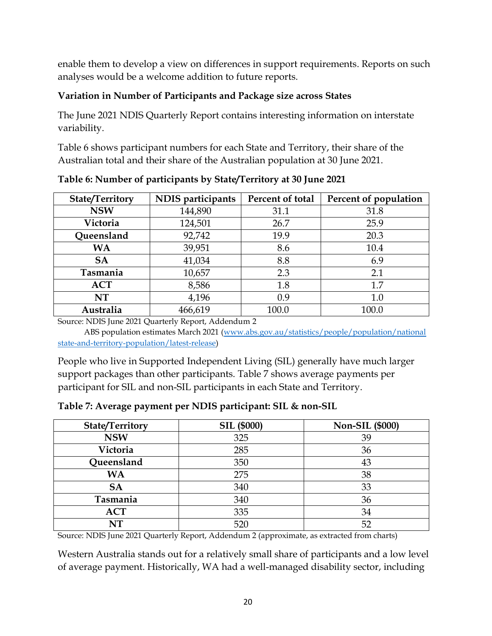enable them to develop a view on differences in support requirements. Reports on such analyses would be a welcome addition to future reports.

## **Variation in Number of Participants and Package size across States**

The June 2021 NDIS Quarterly Report contains interesting information on interstate variability.

Table 6 shows participant numbers for each State and Territory, their share of the Australian total and their share of the Australian population at 30 June 2021.

| State/Territory | NDIS participants | Percent of total | Percent of population |
|-----------------|-------------------|------------------|-----------------------|
| <b>NSW</b>      | 144,890           | 31.1             | 31.8                  |
| Victoria        | 124,501           | 26.7             | 25.9                  |
| Queensland      | 92,742            | 19.9             | 20.3                  |
| <b>WA</b>       | 39,951            | 8.6              | 10.4                  |
| <b>SA</b>       | 41,034            | 8.8              | 6.9                   |
| Tasmania        | 10,657            | 2.3              | 2.1                   |
| <b>ACT</b>      | 8,586             | 1.8              | 1.7                   |
| NT              | 4,196             | 0.9              | 1.0                   |
| Australia       | 466,619           | 100.0            | 100.0                 |

**Table 6: Number of participants by State/Territory at 30 June 2021**

Source: NDIS June 2021 Quarterly Report, Addendum 2

 ABS population estimates March 2021 [\(www.abs.gov.au/statistics/people/population/national](http://www.abs.gov.au/statistics/people/population/national%20state-and-territory-population/latest-release)  [state-and-territory-population/latest-release\)](http://www.abs.gov.au/statistics/people/population/national%20state-and-territory-population/latest-release)

People who live in Supported Independent Living (SIL) generally have much larger support packages than other participants. Table 7 shows average payments per participant for SIL and non-SIL participants in each State and Territory.

| <b>State/Territory</b> | <b>SIL (\$000)</b> | <b>Non-SIL (\$000)</b> |
|------------------------|--------------------|------------------------|
| <b>NSW</b>             | 325                | 39                     |
| Victoria               | 285                | 36                     |
| Queensland             | 350                | 43                     |
| WA                     | 275                | 38                     |
| <b>SA</b>              | 340                | 33                     |
| Tasmania               | 340                | 36                     |
| <b>ACT</b>             | 335                | 34                     |
| NT                     | 520                | 52                     |

**Table 7: Average payment per NDIS participant: SIL & non-SIL**

Source: NDIS June 2021 Quarterly Report, Addendum 2 (approximate, as extracted from charts)

Western Australia stands out for a relatively small share of participants and a low level of average payment. Historically, WA had a well-managed disability sector, including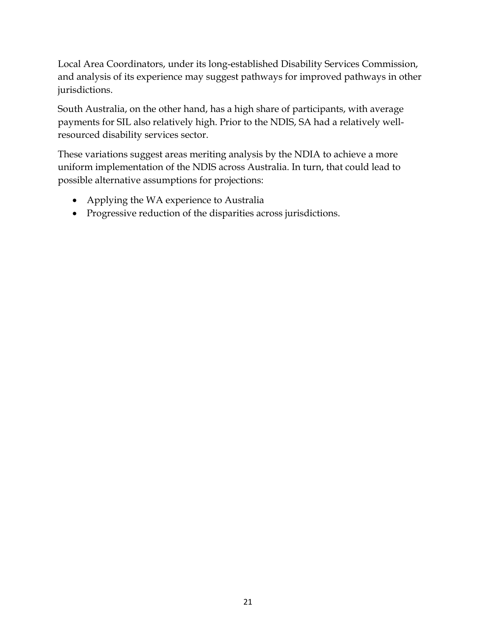Local Area Coordinators, under its long-established Disability Services Commission, and analysis of its experience may suggest pathways for improved pathways in other jurisdictions.

South Australia, on the other hand, has a high share of participants, with average payments for SIL also relatively high. Prior to the NDIS, SA had a relatively wellresourced disability services sector.

These variations suggest areas meriting analysis by the NDIA to achieve a more uniform implementation of the NDIS across Australia. In turn, that could lead to possible alternative assumptions for projections:

- Applying the WA experience to Australia
- Progressive reduction of the disparities across jurisdictions.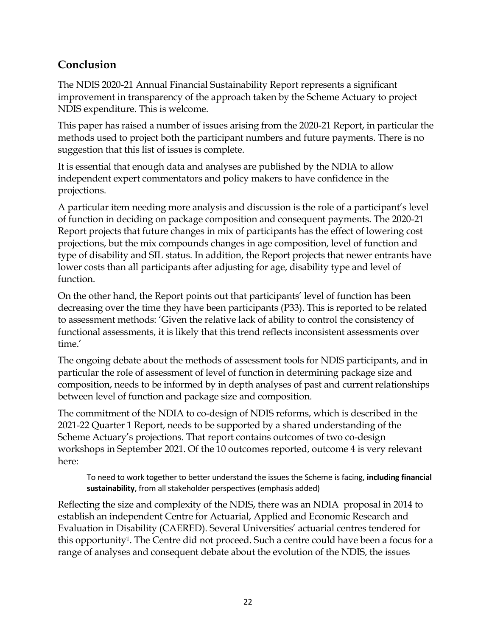# **Conclusion**

The NDIS 2020-21 Annual Financial Sustainability Report represents a significant improvement in transparency of the approach taken by the Scheme Actuary to project NDIS expenditure. This is welcome.

This paper has raised a number of issues arising from the 2020-21 Report, in particular the methods used to project both the participant numbers and future payments. There is no suggestion that this list of issues is complete.

It is essential that enough data and analyses are published by the NDIA to allow independent expert commentators and policy makers to have confidence in the projections.

A particular item needing more analysis and discussion is the role of a participant's level of function in deciding on package composition and consequent payments. The 2020-21 Report projects that future changes in mix of participants has the effect of lowering cost projections, but the mix compounds changes in age composition, level of function and type of disability and SIL status. In addition, the Report projects that newer entrants have lower costs than all participants after adjusting for age, disability type and level of function.

On the other hand, the Report points out that participants' level of function has been decreasing over the time they have been participants (P33). This is reported to be related to assessment methods: 'Given the relative lack of ability to control the consistency of functional assessments, it is likely that this trend reflects inconsistent assessments over time.'

The ongoing debate about the methods of assessment tools for NDIS participants, and in particular the role of assessment of level of function in determining package size and composition, needs to be informed by in depth analyses of past and current relationships between level of function and package size and composition.

The commitment of the NDIA to co-design of NDIS reforms, which is described in the 2021-22 Quarter 1 Report, needs to be supported by a shared understanding of the Scheme Actuary's projections. That report contains outcomes of two co-design workshops in September 2021. Of the 10 outcomes reported, outcome 4 is very relevant here:

To need to work together to better understand the issues the Scheme is facing, **including financial sustainability**, from all stakeholder perspectives (emphasis added)

Reflecting the size and complexity of the NDIS, there was an NDIA proposal in 2014 to establish an independent Centre for Actuarial, Applied and Economic Research and Evaluation in Disability (CAERED). Several Universities' actuarial centres tendered for this opportunity<sup>1</sup>. The Centre did not proceed. Such a centre could have been a focus for a range of analyses and consequent debate about the evolution of the NDIS, the issues